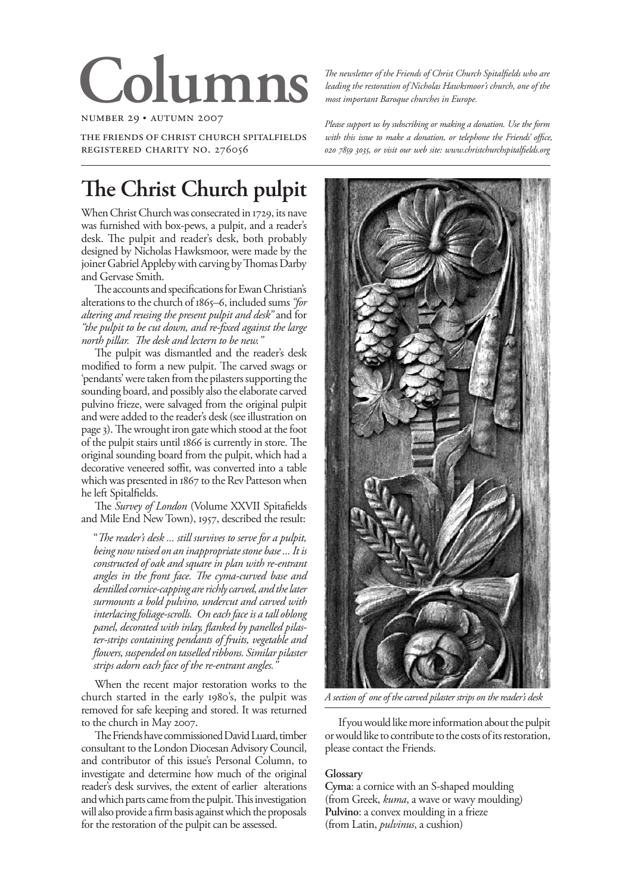# **Columns**

number 29 • autumn 2007

the friends of christ church spitalfields registered charity no. 276056

# **The Christ Church pulpit**

When Christ Church was consecrated in 1729, its nave was furnished with box-pews, a pulpit, and a reader's desk. The pulpit and reader's desk, both probably designed by Nicholas Hawksmoor, were made by the joiner Gabriel Appleby with carving by Thomas Darby and Gervase Smith.

The accounts and specifications for Ewan Christian's alterations to the church of 1865–6, included sums *"for altering and reusing the present pulpit and desk"* and for *"the pulpit to be cut down, and re-fixed against the large north pillar. The desk and lectern to be new."* 

The pulpit was dismantled and the reader's desk modified to form a new pulpit. The carved swags or 'pendants' were taken from the pilasters supporting the sounding board, and possibly also the elaborate carved pulvino frieze, were salvaged from the original pulpit and were added to the reader's desk (see illustration on page 3). The wrought iron gate which stood at the foot of the pulpit stairs until 1866 is currently in store. The original sounding board from the pulpit, which had a decorative veneered soffit, was converted into a table which was presented in 1867 to the Rev Patteson when he left Spitalfields.

The *Survey of London* (Volume XXVII Spitafields and Mile End New Town), 1957, described the result:

"*The reader's desk ... still survives to serve for a pulpit, being now raised on an inappropriate stone base ... It is constructed of oak and square in plan with re-entrant angles in the front face. The cyma-curved base and dentilled cornice-capping are richly carved, and the later surmounts a bold pulvino, undercut and carved with interlacing foliage-scrolls. On each face is a tall oblong panel, decorated with inlay, flanked by panelled pilaster-strips containing pendants of fruits, vegetable and flowers, suspended on tasselled ribbons. Similar pilaster strips adorn each face of the re-entrant angles."* 

When the recent major restoration works to the church started in the early 1980's, the pulpit was removed for safe keeping and stored. It was returned to the church in May 2007.

The Friends have commissioned David Luard, timber consultant to the London Diocesan Advisory Council, and contributor of this issue's Personal Column, to investigate and determine how much of the original reader's desk survives, the extent of earlier alterations and which parts came from the pulpit. This investigation will also provide a firm basis against which the proposals for the restoration of the pulpit can be assessed.

*The newsletter of the Friends of Christ Church Spitalfields who are leading the restoration of Nicholas Hawksmoor's church, one of the most important Baroque churches in Europe.*

*Please support us by subscribing or making a donation. Use the form with this issue to make a donation, or telephone the Friends' office, , or visit our web site: www.christchurchspitalfields.org*



*A section of one of the carved pilaster strips on the reader's desk*

If you would like more information about the pulpit or would like to contribute to the costs of its restoration, please contact the Friends.

#### **Glossary**

**Cyma**: a cornice with an S-shaped moulding (from Greek, *kuma*, a wave or wavy moulding) **Pulvino**: a convex moulding in a frieze (from Latin, *pulvinus*, a cushion)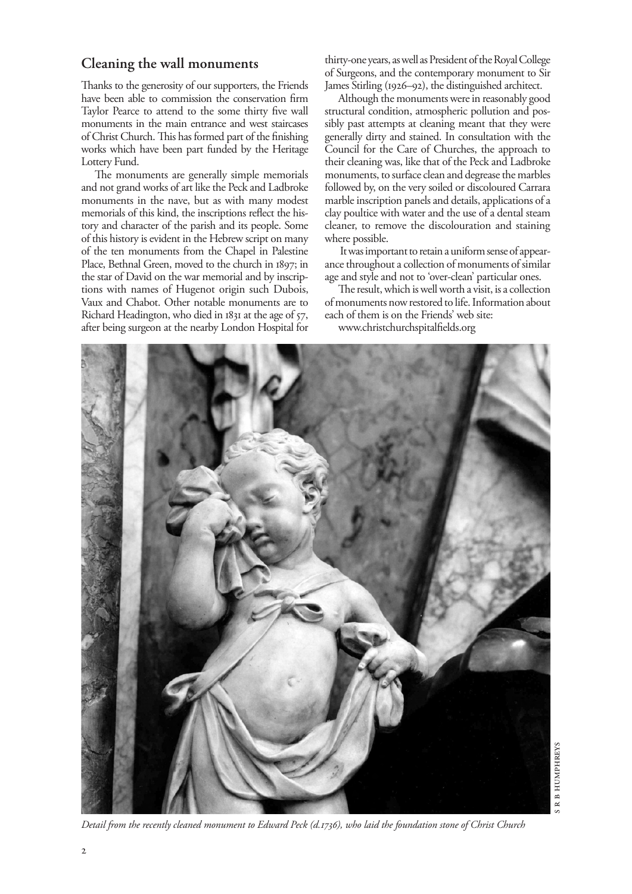### **Cleaning the wall monuments**

Thanks to the generosity of our supporters, the Friends have been able to commission the conservation firm Taylor Pearce to attend to the some thirty five wall monuments in the main entrance and west staircases of Christ Church. This has formed part of the finishing works which have been part funded by the Heritage Lottery Fund.

The monuments are generally simple memorials and not grand works of art like the Peck and Ladbroke monuments in the nave, but as with many modest memorials of this kind, the inscriptions reflect the history and character of the parish and its people. Some of this history is evident in the Hebrew script on many of the ten monuments from the Chapel in Palestine Place, Bethnal Green, moved to the church in 1897; in the star of David on the war memorial and by inscriptions with names of Hugenot origin such Dubois, Vaux and Chabot. Other notable monuments are to Richard Headington, who died in 1831 at the age of 57, after being surgeon at the nearby London Hospital for thirty-one years, as well as President of the Royal College of Surgeons, and the contemporary monument to Sir James Stirling (1926–92), the distinguished architect.

Although the monuments were in reasonably good structural condition, atmospheric pollution and possibly past attempts at cleaning meant that they were generally dirty and stained. In consultation with the Council for the Care of Churches, the approach to their cleaning was, like that of the Peck and Ladbroke monuments, to surface clean and degrease the marbles followed by, on the very soiled or discoloured Carrara marble inscription panels and details, applications of a clay poultice with water and the use of a dental steam cleaner, to remove the discolouration and staining where possible.

 It was important to retain a uniform sense of appearance throughout a collection of monuments of similar age and style and not to 'over-clean' particular ones.

The result, which is well worth a visit, is a collection of monuments now restored to life. Information about each of them is on the Friends' web site:

www.christchurchspitalfields.org



*Detail from the recently cleaned monument to Edward Peck (d.1736), who laid the foundation stone of Christ Church*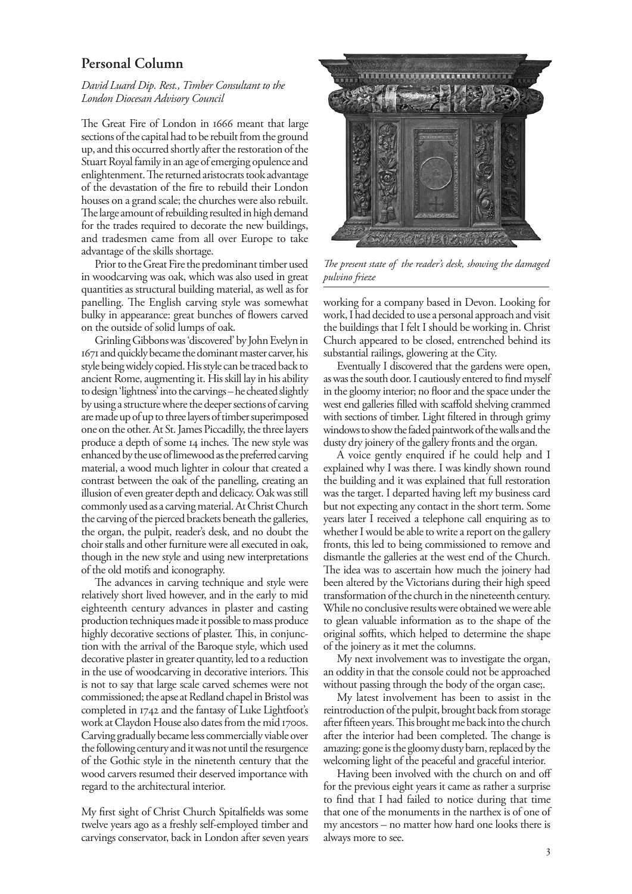## **Personal Column**

#### *David Luard Dip. Rest., Timber Consultant to the London Diocesan Advisory Council*

The Great Fire of London in 1666 meant that large sections of the capital had to be rebuilt from the ground up, and this occurred shortly after the restoration of the Stuart Royal family in an age of emerging opulence and enlightenment. The returned aristocrats took advantage of the devastation of the fire to rebuild their London houses on a grand scale; the churches were also rebuilt. The large amount of rebuilding resulted in high demand for the trades required to decorate the new buildings, and tradesmen came from all over Europe to take advantage of the skills shortage.

Prior to the Great Fire the predominant timber used in woodcarving was oak, which was also used in great quantities as structural building material, as well as for panelling. The English carving style was somewhat bulky in appearance: great bunches of flowers carved on the outside of solid lumps of oak.

Grinling Gibbons was 'discovered' by John Evelyn in 1671 and quickly became the dominant master carver, his style being widely copied. His style can be traced back to ancient Rome, augmenting it. His skill lay in his ability to design 'lightness' into the carvings – he cheated slightly by using a structure where the deeper sections of carving are made up of up to three layers of timber superimposed one on the other. At St. James Piccadilly, the three layers produce a depth of some 14 inches. The new style was enhanced by the use of limewood as the preferred carving material, a wood much lighter in colour that created a contrast between the oak of the panelling, creating an illusion of even greater depth and delicacy. Oak was still commonly used as a carving material. At Christ Church the carving of the pierced brackets beneath the galleries, the organ, the pulpit, reader's desk, and no doubt the choir stalls and other furniture were all executed in oak, though in the new style and using new interpretations of the old motifs and iconography.

The advances in carving technique and style were relatively short lived however, and in the early to mid eighteenth century advances in plaster and casting production techniques made it possible to mass produce highly decorative sections of plaster. This, in conjunction with the arrival of the Baroque style, which used decorative plaster in greater quantity, led to a reduction in the use of woodcarving in decorative interiors. This is not to say that large scale carved schemes were not commissioned; the apse at Redland chapel in Bristol was completed in 1742 and the fantasy of Luke Lightfoot's work at Claydon House also dates from the mid 1700s. Carving gradually became less commercially viable over the following century and it was not until the resurgence of the Gothic style in the ninetenth century that the wood carvers resumed their deserved importance with regard to the architectural interior.

My first sight of Christ Church Spitalfields was some twelve years ago as a freshly self-employed timber and carvings conservator, back in London after seven years



*The present state of the reader's desk, showing the damaged pulvino frieze* 

working for a company based in Devon. Looking for work, I had decided to use a personal approach and visit the buildings that I felt I should be working in. Christ Church appeared to be closed, entrenched behind its substantial railings, glowering at the City.

Eventually I discovered that the gardens were open, as was the south door. I cautiously entered to find myself in the gloomy interior; no floor and the space under the west end galleries filled with scaffold shelving crammed with sections of timber. Light filtered in through grimy windows to show the faded paintwork of the walls and the dusty dry joinery of the gallery fronts and the organ.

A voice gently enquired if he could help and I explained why I was there. I was kindly shown round the building and it was explained that full restoration was the target. I departed having left my business card but not expecting any contact in the short term. Some years later I received a telephone call enquiring as to whether I would be able to write a report on the gallery fronts, this led to being commissioned to remove and dismantle the galleries at the west end of the Church. The idea was to ascertain how much the joinery had been altered by the Victorians during their high speed transformation of the church in the nineteenth century. While no conclusive results were obtained we were able to glean valuable information as to the shape of the original soffits, which helped to determine the shape of the joinery as it met the columns.

My next involvement was to investigate the organ, an oddity in that the console could not be approached without passing through the body of the organ case;.

My latest involvement has been to assist in the reintroduction of the pulpit, brought back from storage after fifteen years. This brought me back into the church after the interior had been completed. The change is amazing: gone is the gloomy dusty barn, replaced by the welcoming light of the peaceful and graceful interior.

Having been involved with the church on and off for the previous eight years it came as rather a surprise to find that I had failed to notice during that time that one of the monuments in the narthex is of one of my ancestors – no matter how hard one looks there is always more to see.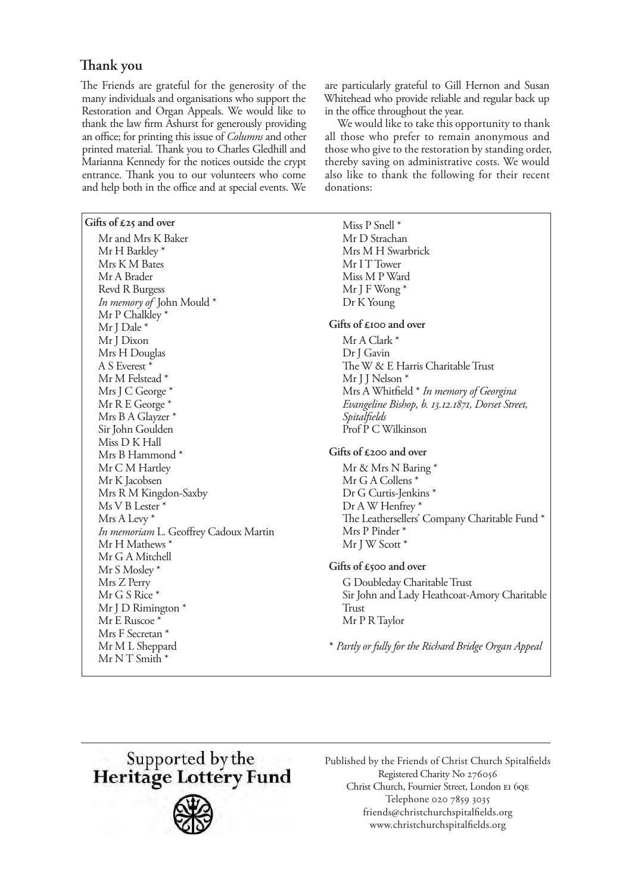# **Thank you**

The Friends are grateful for the generosity of the many individuals and organisations who support the Restoration and Organ Appeals. We would like to thank the law firm Ashurst for generously providing an office; for printing this issue of *Columns* and other printed material. Thank you to Charles Gledhill and Marianna Kennedy for the notices outside the crypt entrance. Thank you to our volunteers who come and help both in the office and at special events. We

#### **Gifts of £25 and over**

Mr and Mrs K Baker Mr H Barkley \* Mrs K M Bates Mr A Brader Revd R Burgess *In memory of* John Mould \* Mr P Chalkley \* Mr J Dale \* Mr J Dixon Mrs H Douglas A S Everest \* Mr M Felstead \* Mrs J C George \* Mr R E George \* Mrs B A Glayzer \* Sir John Goulden Miss D K Hall Mrs B Hammond \* Mr C M Hartley Mr K Jacobsen Mrs R M Kingdon-Saxby Ms V B Lester \* Mrs A Levy \* *In memoriam* L. Geoffrey Cadoux Martin Mr H Mathews \* Mr G A Mitchell Mr S Mosley \* Mrs Z Perry Mr G S Rice \* Mr J D Rimington \* Mr E Ruscoe<sup>\*</sup> Mrs F Secretan \* Mr M L Sheppard  $Mr N T S<sub>mith</sub> *$ 

are particularly grateful to Gill Hernon and Susan Whitehead who provide reliable and regular back up in the office throughout the year.

We would like to take this opportunity to thank all those who prefer to remain anonymous and those who give to the restoration by standing order, thereby saving on administrative costs. We would also like to thank the following for their recent donations:

## Miss P Snell \* Mr D Strachan Mrs M H Swarbrick Mr I T Tower Miss M P Ward Mr J F Wong \* Dr K Young **Gifts of £100 and over** Mr A Clark \* Dr J Gavin The W & E Harris Charitable Trust Mr I I Nelson<sup>\*</sup> Mrs A Whitfield \* *In memory of Georgina Evangeline Bishop, b. 13.12.1871, Dorset Street, Spitalfields* Prof P C Wilkinson **Gifts of £200 and over** Mr & Mrs N Baring \* Mr G A Collens \* Dr G Curtis-Jenkins \* Dr A W Henfrey \* The Leathersellers' Company Charitable Fund \* Mrs P Pinder \* Mr J W Scott \* **Gifts of £500 and over** G Doubleday Charitable Trust Sir John and Lady Heathcoat-Amory Charitable Trust Mr P R Taylor **\*** *Partly or fully for the Richard Bridge Organ Appeal*



Published by the Friends of Christ Church Spitalfields Registered Charity No Christ Church, Fournier Street, London EI 60E Telephone 020 7859 3035 friends@christchurchspitalfields.org www.christchurchspitalfields.org